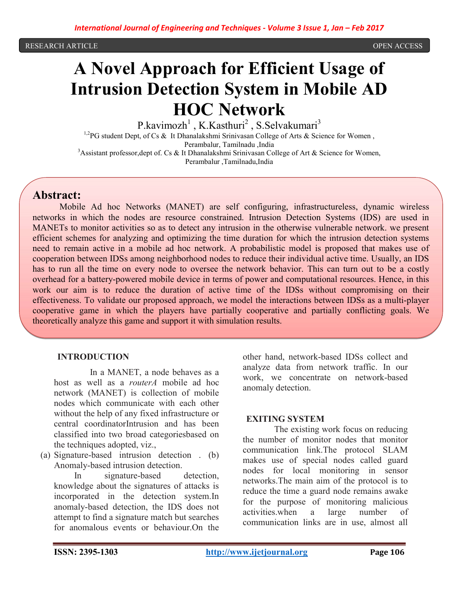# A Novel Approach for Efficient Usage of Intrusion Detection System in Mobile AD HOC Network

P.kavimozh<sup>1</sup>, K.Kasthuri<sup>2</sup>, S.Selvakumari<sup>3</sup> <sup>1,2</sup>PG student Dept, of Cs & It Dhanalakshmi Srinivasan College of Arts & Science for Women, Perambalur, Tamilnadu ,India <sup>3</sup>Assistant professor,dept of. Cs & It Dhanalakshmi Srinivasan College of Art & Science for Women, Perambalur ,Tamilnadu,India

# Abstract:

. cooperative game in which the players have partially cooperative and partially conflicting goals. We Mobile Ad hoc Networks (MANET) are self configuring, infrastructureless, dynamic wireless networks in which the nodes are resource constrained. Intrusion Detection Systems (IDS) are used in MANETs to monitor activities so as to detect any intrusion in the otherwise vulnerable network. we present efficient schemes for analyzing and optimizing the time duration for which the intrusion detection systems need to remain active in a mobile ad hoc network. A probabilistic model is proposed that makes use of cooperation between IDSs among neighborhood nodes to reduce their individual active time. Usually, an IDS has to run all the time on every node to oversee the network behavior. This can turn out to be a costly overhead for a battery-powered mobile device in terms of power and computational resources. Hence, in this work our aim is to reduce the duration of active time of the IDSs without compromising on their effectiveness. To validate our proposed approach, we model the interactions between IDSs as a multi-player theoretically analyze this game and support it with simulation results.

# INTRODUCTION

 In a MANET, a node behaves as a host as well as a *routerA* mobile ad hoc network (MANET) is collection of mobile nodes which communicate with each other without the help of any fixed infrastructure or central coordinatorIntrusion and has been classified into two broad categoriesbased on the techniques adopted, viz.,

(a) Signature-based intrusion detection . (b) Anomaly-based intrusion detection.

 In signature-based detection, knowledge about the signatures of attacks is incorporated in the detection system.In anomaly-based detection, the IDS does not attempt to find a signature match but searches for anomalous events or behaviour.On the other hand, network-based IDSs collect and analyze data from network traffic. In our work, we concentrate on network-based anomaly detection.

## EXITING SYSTEM

 The existing work focus on reducing the number of monitor nodes that monitor communication link.The protocol SLAM makes use of special nodes called guard nodes for local monitoring in sensor networks.The main aim of the protocol is to reduce the time a guard node remains awake for the purpose of monitoring malicious activities.when a large number of communication links are in use, almost all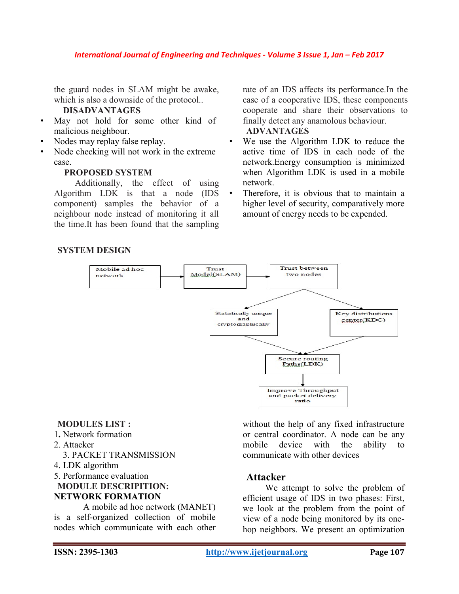### International Journal of Engineering and Techniques - Volume 3 Issue 1, Jan – Feb 2017

the guard nodes in SLAM might be awake, which is also a downside of the protocol..

## DISADVANTAGES

- May not hold for some other kind of malicious neighbour.
- Nodes may replay false replay.
- Node checking will not work in the extreme case.

### PROPOSED SYSTEM

 Additionally, the effect of using Algorithm LDK is that a node (IDS component) samples the behavior of a neighbour node instead of monitoring it all the time.It has been found that the sampling rate of an IDS affects its performance.In the case of a cooperative IDS, these components cooperate and share their observations to finally detect any anamolous behaviour. ADVANTAGES

## We use the Algorithm LDK to reduce the active time of IDS in each node of the network.Energy consumption is minimized when Algorithm LDK is used in a mobile network.

• Therefore, it is obvious that to maintain a higher level of security, comparatively more amount of energy needs to be expended.

## SYSTEM DESIGN



## MODULES LIST :

- 1. Network formation
- 2. Attacker
	- 3. PACKET TRANSMISSION
- 4. LDK algorithm
- 5. Performance evaluation

# MODULE DESCRIPITION: NETWORK FORMATION

 A mobile ad hoc network (MANET) is a self-organized collection of mobile nodes which communicate with each other without the help of any fixed infrastructure or central coordinator. A node can be any mobile device with the ability to communicate with other devices

# Attacker

 We attempt to solve the problem of efficient usage of IDS in two phases: First, we look at the problem from the point of view of a node being monitored by its onehop neighbors. We present an optimization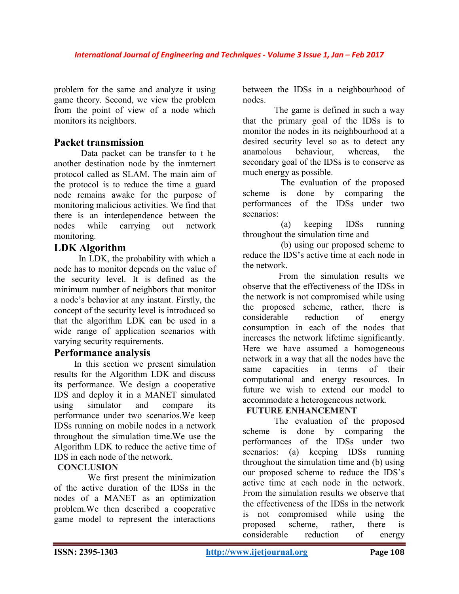problem for the same and analyze it using game theory. Second, we view the problem from the point of view of a node which monitors its neighbors.

# Packet transmission

 Data packet can be transfer to t he another destination node by the inmternert protocol called as SLAM. The main aim of the protocol is to reduce the time a guard node remains awake for the purpose of monitoring malicious activities. We find that there is an interdependence between the nodes while carrying out network monitoring.

# LDK Algorithm

 In LDK, the probability with which a node has to monitor depends on the value of the security level. It is defined as the minimum number of neighbors that monitor a node's behavior at any instant. Firstly, the concept of the security level is introduced so that the algorithm LDK can be used in a wide range of application scenarios with varying security requirements.

# Performance analysis

 In this section we present simulation results for the Algorithm LDK and discuss its performance. We design a cooperative IDS and deploy it in a MANET simulated using simulator and compare its performance under two scenarios.We keep IDSs running on mobile nodes in a network throughout the simulation time.We use the Algorithm LDK to reduce the active time of IDS in each node of the network.

# **CONCLUSION**

 We first present the minimization of the active duration of the IDSs in the nodes of a MANET as an optimization problem.We then described a cooperative game model to represent the interactions

between the IDSs in a neighbourhood of nodes.

 The game is defined in such a way that the primary goal of the IDSs is to monitor the nodes in its neighbourhood at a desired security level so as to detect any anamolous behaviour, whereas, the secondary goal of the IDSs is to conserve as much energy as possible.

 The evaluation of the proposed scheme is done by comparing the performances of the IDSs under two scenarios:

 (a) keeping IDSs running throughout the simulation time and

 (b) using our proposed scheme to reduce the IDS's active time at each node in the network.

 From the simulation results we observe that the effectiveness of the IDSs in the network is not compromised while using the proposed scheme, rather, there is considerable reduction of energy consumption in each of the nodes that increases the network lifetime significantly. Here we have assumed a homogeneous network in a way that all the nodes have the same capacities in terms of their computational and energy resources. In future we wish to extend our model to accommodate a heterogeneous network.

# FUTURE ENHANCEMENT

 The evaluation of the proposed scheme is done by comparing the performances of the IDSs under two scenarios: (a) keeping IDSs running throughout the simulation time and (b) using our proposed scheme to reduce the IDS's active time at each node in the network. From the simulation results we observe that the effectiveness of the IDSs in the network is not compromised while using the proposed scheme, rather, there is considerable reduction of energy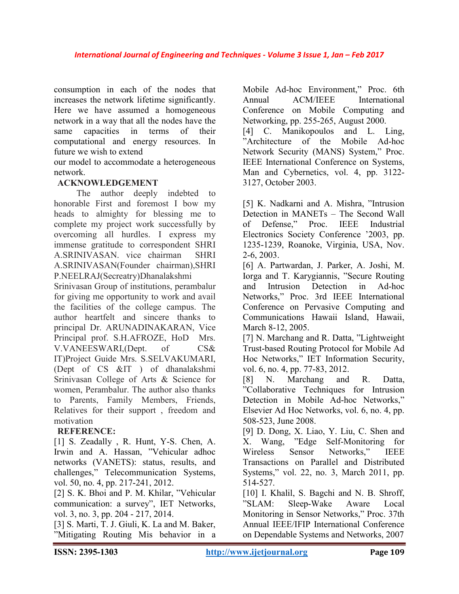consumption in each of the nodes that increases the network lifetime significantly. Here we have assumed a homogeneous network in a way that all the nodes have the same capacities in terms of their computational and energy resources. In future we wish to extend

our model to accommodate a heterogeneous network.

# ACKNOWLEDGEMENT

 The author deeply indebted to honorable First and foremost I bow my heads to almighty for blessing me to complete my project work successfully by overcoming all hurdles. I express my immense gratitude to correspondent SHRI A.SRINIVASAN. vice chairman SHRI A.SRINIVASAN(Founder chairman),SHRI P.NEELRAJ(Secreatry)Dhanalakshmi

Srinivasan Group of institutions, perambalur for giving me opportunity to work and avail the facilities of the college campus. The author heartfelt and sincere thanks to principal Dr. ARUNADINAKARAN, Vice Principal prof. S.H.AFROZE, HoD Mrs. V.VANEESWARI, (Dept. of CS& IT)Project Guide Mrs. S.SELVAKUMARI, (Dept of CS &IT ) of dhanalakshmi Srinivasan College of Arts & Science for women, Perambalur. The author also thanks to Parents, Family Members, Friends, Relatives for their support , freedom and motivation

# REFERENCE:

[1] S. Zeadally , R. Hunt, Y-S. Chen, A. Irwin and A. Hassan, "Vehicular adhoc networks (VANETS): status, results, and challenges," Telecommunication Systems, vol. 50, no. 4, pp. 217-241, 2012.

[2] S. K. Bhoi and P. M. Khilar, "Vehicular communication: a survey", IET Networks, vol. 3, no. 3, pp. 204 - 217, 2014.

[3] S. Marti, T. J. Giuli, K. La and M. Baker, "Mitigating Routing Mis behavior in a Mobile Ad-hoc Environment," Proc. 6th Annual ACM/IEEE International Conference on Mobile Computing and Networking, pp. 255-265, August 2000.

[4] C. Manikopoulos and L. Ling, "Architecture of the Mobile Ad-hoc Network Security (MANS) System," Proc. IEEE International Conference on Systems, Man and Cybernetics, vol. 4, pp. 3122- 3127, October 2003.

[5] K. Nadkarni and A. Mishra, "Intrusion Detection in MANETs – The Second Wall of Defense," Proc. IEEE Industrial Electronics Society Conference '2003, pp. 1235-1239, Roanoke, Virginia, USA, Nov. 2-6, 2003.

[6] A. Partwardan, J. Parker, A. Joshi, M. Iorga and T. Karygiannis, "Secure Routing and Intrusion Detection in Ad-hoc Networks," Proc. 3rd IEEE International Conference on Pervasive Computing and Communications Hawaii Island, Hawaii, March 8-12, 2005.

[7] N. Marchang and R. Datta, "Lightweight Trust-based Routing Protocol for Mobile Ad Hoc Networks," IET Information Security, vol. 6, no. 4, pp. 77-83, 2012.

[8] N. Marchang and R. Datta, "Collaborative Techniques for Intrusion Detection in Mobile Ad-hoc Networks," Elsevier Ad Hoc Networks, vol. 6, no. 4, pp. 508-523, June 2008.

[9] D. Dong, X. Liao, Y. Liu, C. Shen and X. Wang, "Edge Self-Monitoring for Wireless Sensor Networks," IEEE Transactions on Parallel and Distributed Systems," vol. 22, no. 3, March 2011, pp. 514-527.

[10] I. Khalil, S. Bagchi and N. B. Shroff, "SLAM: Sleep-Wake Aware Local Monitoring in Sensor Networks," Proc. 37th Annual IEEE/IFIP International Conference on Dependable Systems and Networks, 2007